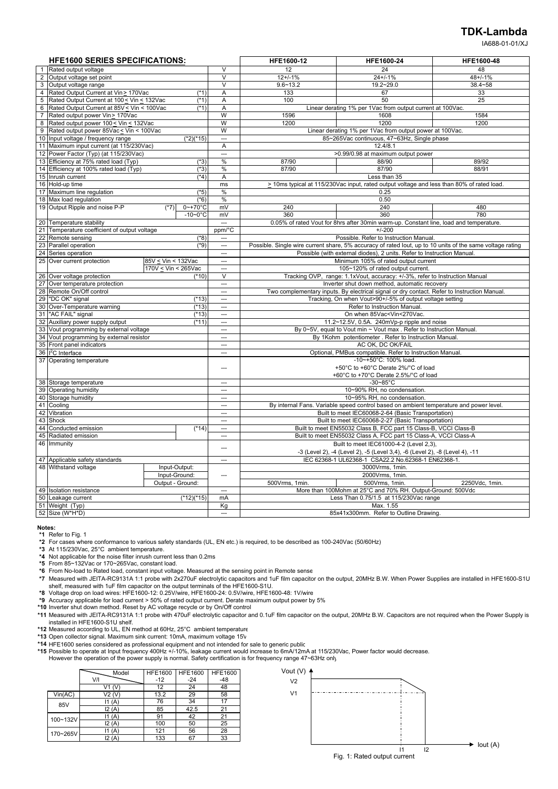#### **TDK-Lambda**

IA688-01-01/XJ

|                | <b>HFE1600 SERIES SPECIFICATIONS:</b>                                   |                         |                          | HFE1600-12                                                            | HFE1600-24                                                                                                            | HFE1600-48     |  |
|----------------|-------------------------------------------------------------------------|-------------------------|--------------------------|-----------------------------------------------------------------------|-----------------------------------------------------------------------------------------------------------------------|----------------|--|
|                | 1 Rated output voltage                                                  |                         | $\vee$                   | 12                                                                    | 24                                                                                                                    | 48             |  |
|                | 2 Output voltage set point                                              |                         | $\overline{\mathsf{v}}$  | $12+/-1%$                                                             | $24 + 1%$                                                                                                             | $48 + 1%$      |  |
|                | 3 Output voltage range                                                  |                         | $\overline{\mathsf{v}}$  | $9.6 - 13.2$                                                          | $19.2 - 29.0$                                                                                                         | $38.4 - 58$    |  |
|                | 4 Rated Output Current at Vin > 170Vac                                  | $(*1)$                  | Α                        | 133                                                                   | 67                                                                                                                    | 33             |  |
| 5              | Rated Output Current at 100 < Vin < 132Vac                              | $(*1)$                  | $\overline{A}$           | 100                                                                   | 50                                                                                                                    | 25             |  |
| 6              | Rated Output Current at 85V < Vin < 100Vac                              | $(*1)$                  | Α                        |                                                                       | Linear derating 1% per 1Vac from output current at 100Vac.                                                            |                |  |
| $\overline{7}$ | Rated output power Vin> 170Vac                                          |                         | W                        | 1596                                                                  | 1608                                                                                                                  | 1584           |  |
| 8              | Rated output power 100 < Vin < 132Vac                                   |                         | W                        | 1200                                                                  | 1200                                                                                                                  | 1200           |  |
| 9              | Rated output power 85Vac < Vin < 100Vac                                 |                         | W                        |                                                                       | Linear derating 1% per 1Vac from output power at 100Vac.                                                              |                |  |
|                | 10 Input voltage / frequency range                                      | $(*2)$ <sup>*</sup> 15) | $\overline{a}$           |                                                                       | 85~265Vac continuous, 47~63Hz, Single phase                                                                           |                |  |
|                | 11 Maximum input current (at 115/230Vac)                                |                         | A                        |                                                                       | 12.4/8.1                                                                                                              |                |  |
|                | 12 Power Factor (Typ) (at 115/230Vac)                                   |                         | $\overline{a}$           |                                                                       | >0.99/0.98 at maximum output power                                                                                    |                |  |
|                | 13 Efficiency at 75% rated load (Typ)                                   | $(*3)$                  | $\%$                     | 87/90                                                                 | 88/90                                                                                                                 | 89/92          |  |
|                | 14 Efficiency at 100% rated load (Typ)                                  | $(*3)$                  | $\%$                     | 87/90                                                                 | 87/90                                                                                                                 | 88/91          |  |
|                | 15 Inrush current                                                       | (4)                     | Α                        |                                                                       | Less than 35                                                                                                          |                |  |
|                | 16 Hold-up time                                                         |                         | ms                       |                                                                       | > 10ms typical at 115/230Vac input, rated output voltage and less than 80% of rated load.                             |                |  |
|                | 17 Maximum line regulation                                              | $(*5)$                  | $\frac{0}{0}$            |                                                                       | 0.25                                                                                                                  |                |  |
|                | 18 Max load regulation                                                  | $(*6)$                  | %                        |                                                                       | 0.50                                                                                                                  |                |  |
|                | 19 Output Ripple and noise P-P<br>$(*7)$                                | $0 - +70$ °C            | mV                       | 240                                                                   | 240                                                                                                                   | 480            |  |
|                |                                                                         | $-10-0$ °C              | mV                       | 360                                                                   | 360                                                                                                                   | 780            |  |
| 20             | Temperature stability                                                   |                         | ---                      |                                                                       | 0.05% of rated Vout for 8hrs after 30min warm-up. Constant line, load and temperature.                                |                |  |
| 21             | Temperature coefficient of output voltage                               |                         | ppm/°C                   |                                                                       | $+/-200$                                                                                                              |                |  |
|                | 22 Remote sensing                                                       | $(*8)$                  |                          |                                                                       | Possible. Refer to Instruction Manual.                                                                                |                |  |
|                | 23 Parallel operation                                                   | $(*9)$                  | $\sim$                   |                                                                       | Possible. Single wire current share, 5% accuracy of rated lout, up to 10 units of the same voltage rating             |                |  |
| 24             | Series operation                                                        |                         | $\overline{a}$           | Possible (with external diodes), 2 units. Refer to Instruction Manual |                                                                                                                       |                |  |
|                | 25 Over current protection<br>85V < Vin < 132Vac                        |                         | $\sim$                   |                                                                       | Minimum 105% of rated output current                                                                                  |                |  |
|                | 170V < Vin < 265Vac                                                     |                         | $\sim$                   |                                                                       | 105~120% of rated output current.                                                                                     |                |  |
|                | 26 Over voltage protection                                              | $(*10)$                 | $\overline{\mathsf{v}}$  |                                                                       | Tracking OVP, range: 1.1xVout, accuracy: +/-3%, refer to Instruction Manual                                           |                |  |
|                | 27 Over temperature protection                                          |                         | $\overline{\phantom{a}}$ |                                                                       | Inverter shut down method, automatic recovery                                                                         |                |  |
|                | 28 Remote On/Off control                                                |                         | $\sim$                   |                                                                       | Two complementary inputs. By electrical signal or dry contact. Refer to Instruction Manual.                           |                |  |
|                | 29 "DC OK" signal                                                       | $(*13)$                 | $\overline{a}$           |                                                                       | Tracking, On when Vout>90+/-5% of output voltage setting                                                              |                |  |
|                | 30 Over-Temperature warning                                             | $(*13)$                 | $\overline{a}$           |                                                                       | Refer to Instruction Manual.                                                                                          |                |  |
|                | 31 "AC FAIL" signal                                                     | $(*13)$                 | ---                      |                                                                       | On when 85Vac <vin<270vac.< td=""><td></td></vin<270vac.<>                                                            |                |  |
|                | 32 Auxiliary power supply output                                        | $(*11)$                 | $\overline{a}$           |                                                                       | 11.2~12.5V, 0.5A. 240mVp-p ripple and noise                                                                           |                |  |
| 33             | Vout programming by external voltage                                    |                         | <u></u>                  |                                                                       | By 0~5V, equal to Vout min ~ Vout max. Refer to Instruction Manual.                                                   |                |  |
|                | 34 Vout programming by external resistor                                |                         | ---                      |                                                                       | By 1Kohm potentiometer . Refer to Instruction Manual.                                                                 |                |  |
|                | 35 Front panel indicators                                               |                         | $\sim$                   |                                                                       | AC OK, DC OK/FAIL                                                                                                     |                |  |
|                | 36   <sup>2</sup> C Interface                                           |                         | $\overline{a}$           |                                                                       | Optional, PMBus compatible. Refer to Instruction Manual.                                                              |                |  |
|                | 37 Operating temperature                                                |                         |                          |                                                                       | -10~+50°C: 100% load.                                                                                                 |                |  |
|                |                                                                         |                         | ---                      |                                                                       | +50°C to +60°C Derate 2%/°C of load                                                                                   |                |  |
|                |                                                                         |                         |                          |                                                                       | +60°C to +70°C Derate 2.5%/°C of load                                                                                 |                |  |
|                | 38 Storage temperature                                                  |                         | $\sim$                   |                                                                       | $-30 - 85$ °C                                                                                                         |                |  |
|                | 39 Operating humidity                                                   |                         | ---<br>$\sim$            | 10~90% RH, no condensation.                                           |                                                                                                                       |                |  |
|                | 40 Storage humidity                                                     |                         | $\overline{a}$           |                                                                       | 10~95% RH, no condensation.<br>By internal Fans. Variable speed control based on ambient temperature and power level. |                |  |
| 42             | 41 Cooling                                                              |                         |                          |                                                                       |                                                                                                                       |                |  |
|                | Vibration<br>43 Shock                                                   |                         | $\sim$                   |                                                                       | Built to meet IEC60068-2-64 (Basic Transportation)<br>Built to meet IEC60068-2-27 (Basic Transportation)              |                |  |
|                | 44 Conducted emission                                                   |                         | $\overline{\phantom{a}}$ |                                                                       | Built to meet EN55032 Class B, FCC part 15 Class-B, VCCI Class-B                                                      |                |  |
|                | 45 Radiated emission                                                    | $(*14)$                 | $\sim$                   |                                                                       | Built to meet EN55032 Class A, FCC part 15 Class-A, VCCI Class-A                                                      |                |  |
|                | 46 Immunity                                                             |                         |                          |                                                                       |                                                                                                                       |                |  |
|                |                                                                         |                         | ---                      |                                                                       | Built to meet IEC61000-4-2 (Level 2,3),                                                                               |                |  |
|                |                                                                         |                         |                          |                                                                       | -3 (Level 2), -4 (Level 2), -5 (Level 3,4), -6 (Level 2), -8 (Level 4), -11                                           |                |  |
|                | 47 Applicable safety standards<br>48 Withstand voltage<br>Input-Output: |                         | $\overline{\phantom{a}}$ |                                                                       | IEC 62368-1 UL62368-1 CSA22.2 No.62368-1 EN62368-1.                                                                   |                |  |
|                | Input-Ground:                                                           |                         |                          |                                                                       | 3000Vrms, 1min.                                                                                                       |                |  |
|                |                                                                         |                         | ---                      |                                                                       | 2000Vrms, 1min.                                                                                                       |                |  |
|                |                                                                         | Output - Ground:        |                          | 500Vrms, 1min.                                                        | 500Vrms, 1min.                                                                                                        | 2250Vdc, 1min. |  |
|                | 49 Isolation resistance                                                 |                         |                          |                                                                       | More than 100Mohm at 25°C and 70% RH. Output-Ground: 500Vdc                                                           |                |  |
|                | 50 Leakage current                                                      | $(*12)(*15)$            | mA                       | Less Than 0.75/1.5 at 115/230Vac range                                |                                                                                                                       |                |  |
|                | 51 Weight (Typ)                                                         |                         | Kg<br>$\sim$             |                                                                       | Max. 1.55                                                                                                             |                |  |
|                | 52 Size (W*H*D)                                                         |                         |                          |                                                                       | 85x41x300mm. Refer to Outline Drawing                                                                                 |                |  |

#### **Notes:**

**\*1** Refer to Fig. 1

- **\*2** For cases where conformance to various safety standards (UL, EN etc.) is required, to be described as 100-240Vac (50/60Hz)
- **\*3** At 115/230Vac, 25°C ambient temperature.
- **\*4** Not applicable for the noise filter inrush current less than 0.2ms **\*5** From 85~132Vac or 170~265Vac, constant load.
- 
- **\*6** From No-load to Rated load, constant input voltage. Measured at the sensing point in Remote sense
- **\*7** Measured with JEITA-RC9131A 1:1 probe with 2x270uF electrolytic capacitors and 1uF film capacitor on the output, 20MHz B.W. When Power Supplies are installed in HFE1600-S1U shelf, measured with 1uF film capacitor on the output terminals of the HFE1600-S1U.<br>**\*8** Voltage drop on load wires: HFE1600-12: 0.25V/wire, HFE1600-24: 0.5V/wire, HFE1600-48: 1V/wire
- 
- **\*9** Accuracy applicable for load current > 50% of rated output current. Derate maximum output power by 5%
- **\*10** Inverter shut down method. Reset by AC voltage recycle or by On/Off control
- **\*11** Measured with JEITA-RC9131A 1:1 probe with 470uF electrolytic capacitor and 0.1uF film capacitor on the output, 20MHz B.W. Capacitors are not required when the Power Supply is installed in HFE1600-S1U shelf.<br>**\*12** Measured according to UL, EN method at 60Hz, 25°C ambient temperature\*
- 
- **\*13** Open collector signal. Maximum sink current: 10mA, maximum voltage 15V
- **\*14** HFE1600 series considered as professional equipment and not intended for sale to generic public
- \*15 Possible to operate at Input frequency 400Hz +/-10%, leakage current would increase to 6mA/12mA at 115/230Vac, Power factor would decrease.<br>However the operation of the power supply is normal. Safety certification is f
	-

|          | Model  | <b>HFE1600</b> | <b>HFE1600</b> | <b>HFE1600</b> |
|----------|--------|----------------|----------------|----------------|
|          | V/I    | $-12$          | $-24$          | $-48$          |
|          | V1     | 12             | 24             | 48             |
| Vin(AC)  | V2 (V  | 13.2           | 29             | 58             |
| 85V      | 11(A)  | 76             | 34             | 17             |
|          | I2(A)  | 85             | 42.5           | 21             |
| 100~132V | 11(A)  | 91             | 42             | 21             |
|          | I2(A)  | 100            | 50             | 25             |
| 170~265V | 11(A)  | 121            | 56             | 28             |
|          | 12 (A) | 133            | 67             | 33             |